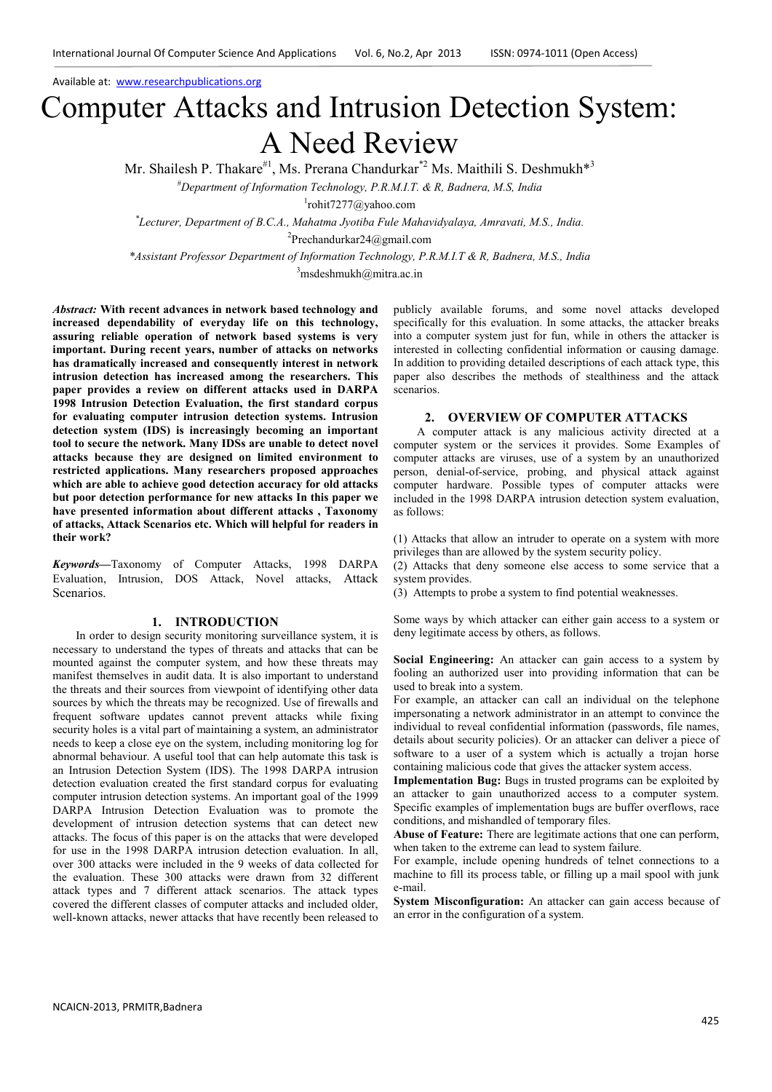# Computer Attacks and Intrusion Detection System: A Need Review

Mr. Shailesh P. Thakare<sup>#1</sup>, Ms. Prerana Chandurkar<sup>\*2</sup> Ms. Maithili S. Deshmukh<sup>\*3</sup>

*#Department of Information Technology, P.R.M.I.T. & R, Badnera, M.S, India* 

1 rohit7277@yahoo.com

*\* Lecturer, Department of B.C.A., Mahatma Jyotiba Fule Mahavidyalaya, Amravati, M.S., India.* 

2 Prechandurkar24@gmail.com

*\*Assistant Professor, Department of Information Technology, P.R.M.I.T & R, Badnera, M.S., India* 

 $3$ msdeshmukh@mitra.ac.in

*Abstract:* **With recent advances in network based technology and increased dependability of everyday life on this technology, assuring reliable operation of network based systems is very important. During recent years, number of attacks on networks has dramatically increased and consequently interest in network intrusion detection has increased among the researchers. This paper provides a review on different attacks used in DARPA 1998 Intrusion Detection Evaluation, the first standard corpus for evaluating computer intrusion detection systems. Intrusion detection system (IDS) is increasingly becoming an important tool to secure the network. Many IDSs are unable to detect novel attacks because they are designed on limited environment to restricted applications. Many researchers proposed approaches which are able to achieve good detection accuracy for old attacks but poor detection performance for new attacks In this paper we have presented information about different attacks , Taxonomy of attacks, Attack Scenarios etc. Which will helpful for readers in their work?** 

*Keywords***—**Taxonomy of Computer Attacks, 1998 DARPA Evaluation, Intrusion, DOS Attack, Novel attacks, Attack Scenarios.

#### **1. INTRODUCTION**

In order to design security monitoring surveillance system, it is necessary to understand the types of threats and attacks that can be mounted against the computer system, and how these threats may manifest themselves in audit data. It is also important to understand the threats and their sources from viewpoint of identifying other data sources by which the threats may be recognized. Use of firewalls and frequent software updates cannot prevent attacks while fixing security holes is a vital part of maintaining a system, an administrator needs to keep a close eye on the system, including monitoring log for abnormal behaviour. A useful tool that can help automate this task is an Intrusion Detection System (IDS). The 1998 DARPA intrusion detection evaluation created the first standard corpus for evaluating computer intrusion detection systems. An important goal of the 1999 DARPA Intrusion Detection Evaluation was to promote the development of intrusion detection systems that can detect new attacks. The focus of this paper is on the attacks that were developed for use in the 1998 DARPA intrusion detection evaluation. In all, over 300 attacks were included in the 9 weeks of data collected for the evaluation. These 300 attacks were drawn from 32 different attack types and 7 different attack scenarios. The attack types covered the different classes of computer attacks and included older, well-known attacks, newer attacks that have recently been released to

publicly available forums, and some novel attacks developed specifically for this evaluation. In some attacks, the attacker breaks into a computer system just for fun, while in others the attacker is interested in collecting confidential information or causing damage. In addition to providing detailed descriptions of each attack type, this paper also describes the methods of stealthiness and the attack scenarios.

## **2. OVERVIEW OF COMPUTER ATTACKS**

A computer attack is any malicious activity directed at a computer system or the services it provides. Some Examples of computer attacks are viruses, use of a system by an unauthorized person, denial-of-service, probing, and physical attack against computer hardware. Possible types of computer attacks were included in the 1998 DARPA intrusion detection system evaluation, as follows:

(1) Attacks that allow an intruder to operate on a system with more privileges than are allowed by the system security policy.

(2) Attacks that deny someone else access to some service that a system provides.

(3) Attempts to probe a system to find potential weaknesses.

Some ways by which attacker can either gain access to a system or deny legitimate access by others, as follows.

**Social Engineering:** An attacker can gain access to a system by fooling an authorized user into providing information that can be used to break into a system.

For example, an attacker can call an individual on the telephone impersonating a network administrator in an attempt to convince the individual to reveal confidential information (passwords, file names, details about security policies). Or an attacker can deliver a piece of software to a user of a system which is actually a trojan horse containing malicious code that gives the attacker system access.

**Implementation Bug:** Bugs in trusted programs can be exploited by an attacker to gain unauthorized access to a computer system. Specific examples of implementation bugs are buffer overflows, race conditions, and mishandled of temporary files.

**Abuse of Feature:** There are legitimate actions that one can perform, when taken to the extreme can lead to system failure.

For example, include opening hundreds of telnet connections to a machine to fill its process table, or filling up a mail spool with junk e-mail.

**System Misconfiguration:** An attacker can gain access because of an error in the configuration of a system.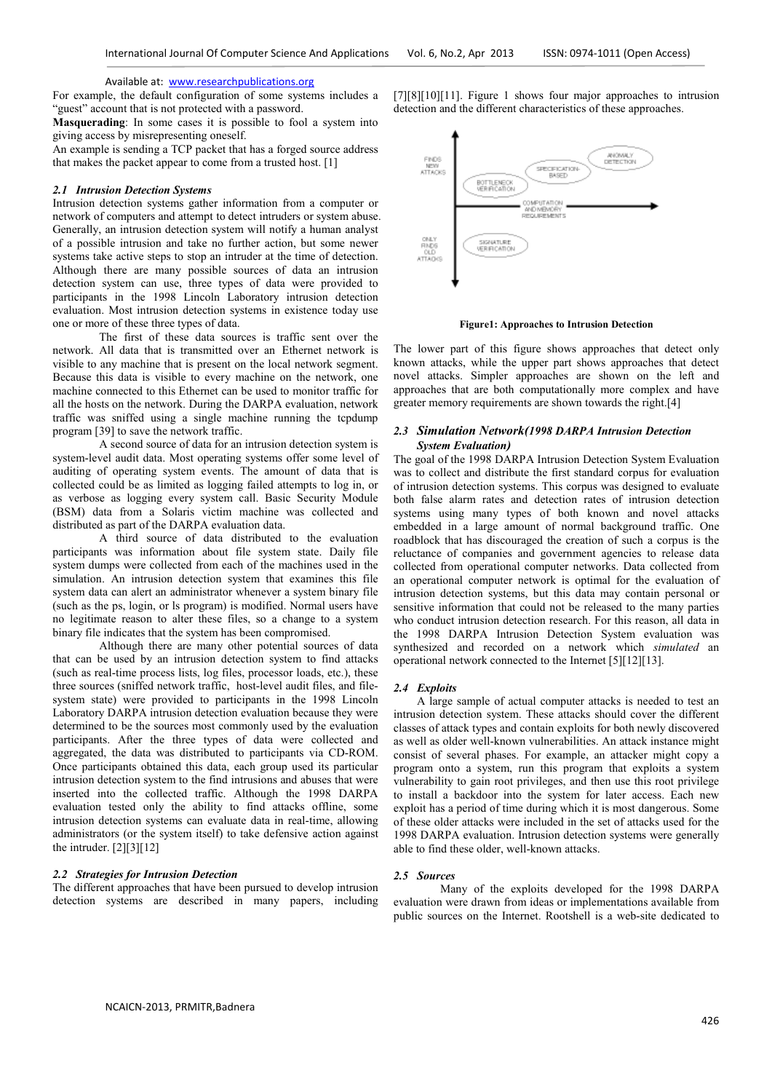For example, the default configuration of some systems includes a "guest" account that is not protected with a password.

**Masquerading**: In some cases it is possible to fool a system into giving access by misrepresenting oneself.

An example is sending a TCP packet that has a forged source address that makes the packet appear to come from a trusted host. [1]

## *2.1 Intrusion Detection Systems*

Intrusion detection systems gather information from a computer or network of computers and attempt to detect intruders or system abuse. Generally, an intrusion detection system will notify a human analyst of a possible intrusion and take no further action, but some newer systems take active steps to stop an intruder at the time of detection. Although there are many possible sources of data an intrusion detection system can use, three types of data were provided to participants in the 1998 Lincoln Laboratory intrusion detection evaluation. Most intrusion detection systems in existence today use one or more of these three types of data.

The first of these data sources is traffic sent over the network. All data that is transmitted over an Ethernet network is visible to any machine that is present on the local network segment. Because this data is visible to every machine on the network, one machine connected to this Ethernet can be used to monitor traffic for all the hosts on the network. During the DARPA evaluation, network traffic was sniffed using a single machine running the tcpdump program [39] to save the network traffic.

A second source of data for an intrusion detection system is system-level audit data. Most operating systems offer some level of auditing of operating system events. The amount of data that is collected could be as limited as logging failed attempts to log in, or as verbose as logging every system call. Basic Security Module (BSM) data from a Solaris victim machine was collected and distributed as part of the DARPA evaluation data.

A third source of data distributed to the evaluation participants was information about file system state. Daily file system dumps were collected from each of the machines used in the simulation. An intrusion detection system that examines this file system data can alert an administrator whenever a system binary file (such as the ps, login, or ls program) is modified. Normal users have no legitimate reason to alter these files, so a change to a system binary file indicates that the system has been compromised.

Although there are many other potential sources of data that can be used by an intrusion detection system to find attacks (such as real-time process lists, log files, processor loads, etc.), these three sources (sniffed network traffic, host-level audit files, and filesystem state) were provided to participants in the 1998 Lincoln Laboratory DARPA intrusion detection evaluation because they were determined to be the sources most commonly used by the evaluation participants. After the three types of data were collected and aggregated, the data was distributed to participants via CD-ROM. Once participants obtained this data, each group used its particular intrusion detection system to the find intrusions and abuses that were inserted into the collected traffic. Although the 1998 DARPA evaluation tested only the ability to find attacks offline, some intrusion detection systems can evaluate data in real-time, allowing administrators (or the system itself) to take defensive action against the intruder.  $[2][3][12]$ 

## *2.2 Strategies for Intrusion Detection*

The different approaches that have been pursued to develop intrusion detection systems are described in many papers, including [7][8][10][11]. Figure 1 shows four major approaches to intrusion detection and the different characteristics of these approaches.



**Figure1: Approaches to Intrusion Detection** 

The lower part of this figure shows approaches that detect only known attacks, while the upper part shows approaches that detect novel attacks. Simpler approaches are shown on the left and approaches that are both computationally more complex and have greater memory requirements are shown towards the right.[4]

## *2.3 Simulation Network(1998 DARPA Intrusion Detection System Evaluation)*

The goal of the 1998 DARPA Intrusion Detection System Evaluation was to collect and distribute the first standard corpus for evaluation of intrusion detection systems. This corpus was designed to evaluate both false alarm rates and detection rates of intrusion detection systems using many types of both known and novel attacks embedded in a large amount of normal background traffic. One roadblock that has discouraged the creation of such a corpus is the reluctance of companies and government agencies to release data collected from operational computer networks. Data collected from an operational computer network is optimal for the evaluation of intrusion detection systems, but this data may contain personal or sensitive information that could not be released to the many parties who conduct intrusion detection research. For this reason, all data in the 1998 DARPA Intrusion Detection System evaluation was synthesized and recorded on a network which *simulated* an operational network connected to the Internet [5][12][13].

## *2.4 Exploits*

A large sample of actual computer attacks is needed to test an intrusion detection system. These attacks should cover the different classes of attack types and contain exploits for both newly discovered as well as older well-known vulnerabilities. An attack instance might consist of several phases. For example, an attacker might copy a program onto a system, run this program that exploits a system vulnerability to gain root privileges, and then use this root privilege to install a backdoor into the system for later access. Each new exploit has a period of time during which it is most dangerous. Some of these older attacks were included in the set of attacks used for the 1998 DARPA evaluation. Intrusion detection systems were generally able to find these older, well-known attacks.

#### *2.5 Sources*

Many of the exploits developed for the 1998 DARPA evaluation were drawn from ideas or implementations available from public sources on the Internet. Rootshell is a web-site dedicated to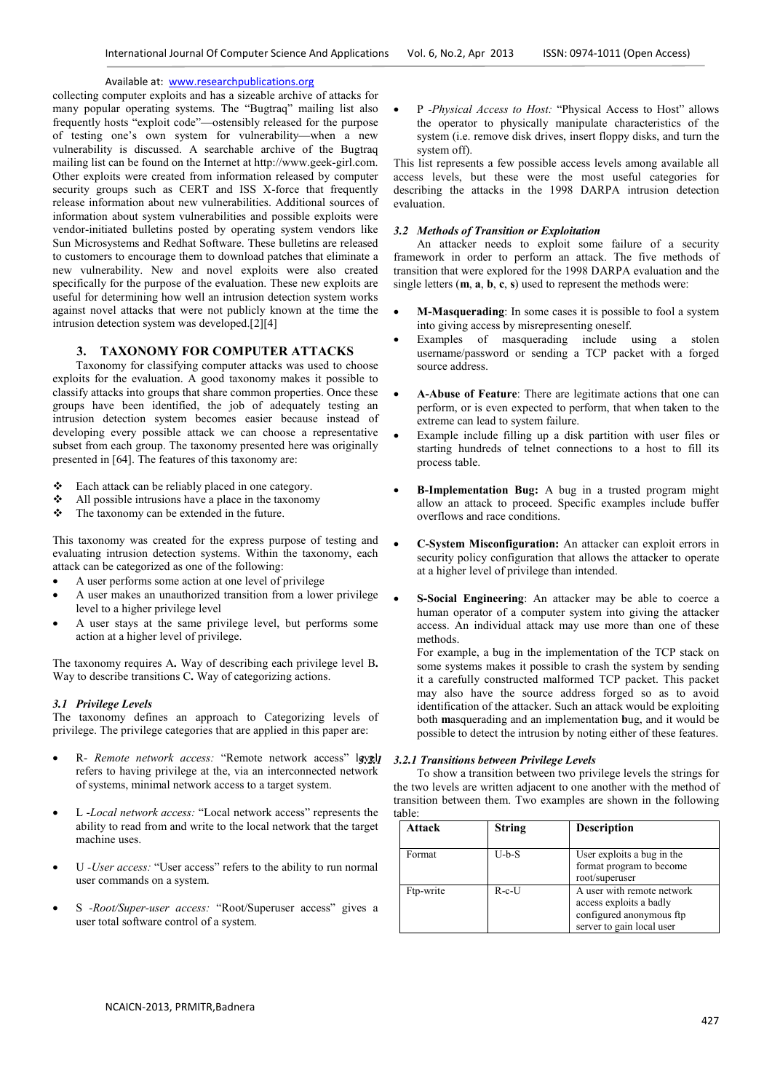collecting computer exploits and has a sizeable archive of attacks for many popular operating systems. The "Bugtraq" mailing list also frequently hosts "exploit code"—ostensibly released for the purpose of testing one's own system for vulnerability—when a new vulnerability is discussed. A searchable archive of the Bugtraq mailing list can be found on the Internet at http://www.geek-girl.com. Other exploits were created from information released by computer security groups such as CERT and ISS X-force that frequently release information about new vulnerabilities. Additional sources of information about system vulnerabilities and possible exploits were vendor-initiated bulletins posted by operating system vendors like Sun Microsystems and Redhat Software. These bulletins are released to customers to encourage them to download patches that eliminate a new vulnerability. New and novel exploits were also created specifically for the purpose of the evaluation. These new exploits are useful for determining how well an intrusion detection system works against novel attacks that were not publicly known at the time the intrusion detection system was developed.[2][4]

## **3. TAXONOMY FOR COMPUTER ATTACKS**

Taxonomy for classifying computer attacks was used to choose exploits for the evaluation. A good taxonomy makes it possible to classify attacks into groups that share common properties. Once these groups have been identified, the job of adequately testing an intrusion detection system becomes easier because instead of developing every possible attack we can choose a representative subset from each group. The taxonomy presented here was originally presented in [64]. The features of this taxonomy are:

- Each attack can be reliably placed in one category.
- $\triangleleft$  All possible intrusions have a place in the taxonomy
- $\triangle$  The taxonomy can be extended in the future.

This taxonomy was created for the express purpose of testing and evaluating intrusion detection systems. Within the taxonomy, each attack can be categorized as one of the following:

- A user performs some action at one level of privilege
- A user makes an unauthorized transition from a lower privilege level to a higher privilege level
- A user stays at the same privilege level, but performs some action at a higher level of privilege.

The taxonomy requires A**.** Way of describing each privilege level B**.** Way to describe transitions C**.** Way of categorizing actions.

## *3.1 Privilege Levels*

The taxonomy defines an approach to Categorizing levels of privilege. The privilege categories that are applied in this paper are:

- R- Remote network access: "Remote network access" lgvgl<sub>l</sub> refers to having privilege at the, via an interconnected network of systems, minimal network access to a target system.
- L -*Local network access:* "Local network access" represents the ability to read from and write to the local network that the target machine uses.
- U *-User access:* "User access" refers to the ability to run normal user commands on a system.
- S *-Root/Super-user access:* "Root/Superuser access" gives a user total software control of a system.

• P *-Physical Access to Host:* "Physical Access to Host" allows the operator to physically manipulate characteristics of the system (i.e. remove disk drives, insert floppy disks, and turn the system off).

This list represents a few possible access levels among available all access levels, but these were the most useful categories for describing the attacks in the 1998 DARPA intrusion detection evaluation.

## *3.2 Methods of Transition or Exploitation*

An attacker needs to exploit some failure of a security framework in order to perform an attack. The five methods of transition that were explored for the 1998 DARPA evaluation and the single letters (**m**, **a**, **b**, **c**, **s**) used to represent the methods were:

- **M-Masquerading**: In some cases it is possible to fool a system into giving access by misrepresenting oneself.
- Examples of masquerading include using a stolen username/password or sending a TCP packet with a forged source address.
- **A-Abuse of Feature**: There are legitimate actions that one can perform, or is even expected to perform, that when taken to the extreme can lead to system failure.
- Example include filling up a disk partition with user files or starting hundreds of telnet connections to a host to fill its process table.
- **B-Implementation Bug:** A bug in a trusted program might allow an attack to proceed. Specific examples include buffer overflows and race conditions.
- **C-System Misconfiguration:** An attacker can exploit errors in security policy configuration that allows the attacker to operate at a higher level of privilege than intended.
- **S-Social Engineering**: An attacker may be able to coerce a human operator of a computer system into giving the attacker access. An individual attack may use more than one of these methods.

For example, a bug in the implementation of the TCP stack on some systems makes it possible to crash the system by sending it a carefully constructed malformed TCP packet. This packet may also have the source address forged so as to avoid identification of the attacker. Such an attack would be exploiting both **m**asquerading and an implementation **b**ug, and it would be possible to detect the intrusion by noting either of these features.

## *3.2.1 3.2.1 Transitions between Privilege Levels*

To show a transition between two privilege levels the strings for the two levels are written adjacent to one another with the method of transition between them. Two examples are shown in the following table:

| Attack    | <b>String</b> | <b>Description</b>                                                                                             |
|-----------|---------------|----------------------------------------------------------------------------------------------------------------|
| Format    | $U-b-S$       | User exploits a bug in the<br>format program to become<br>root/superuser                                       |
| Ftp-write | $R - c - U$   | A user with remote network<br>access exploits a badly<br>configured anonymous ftp<br>server to gain local user |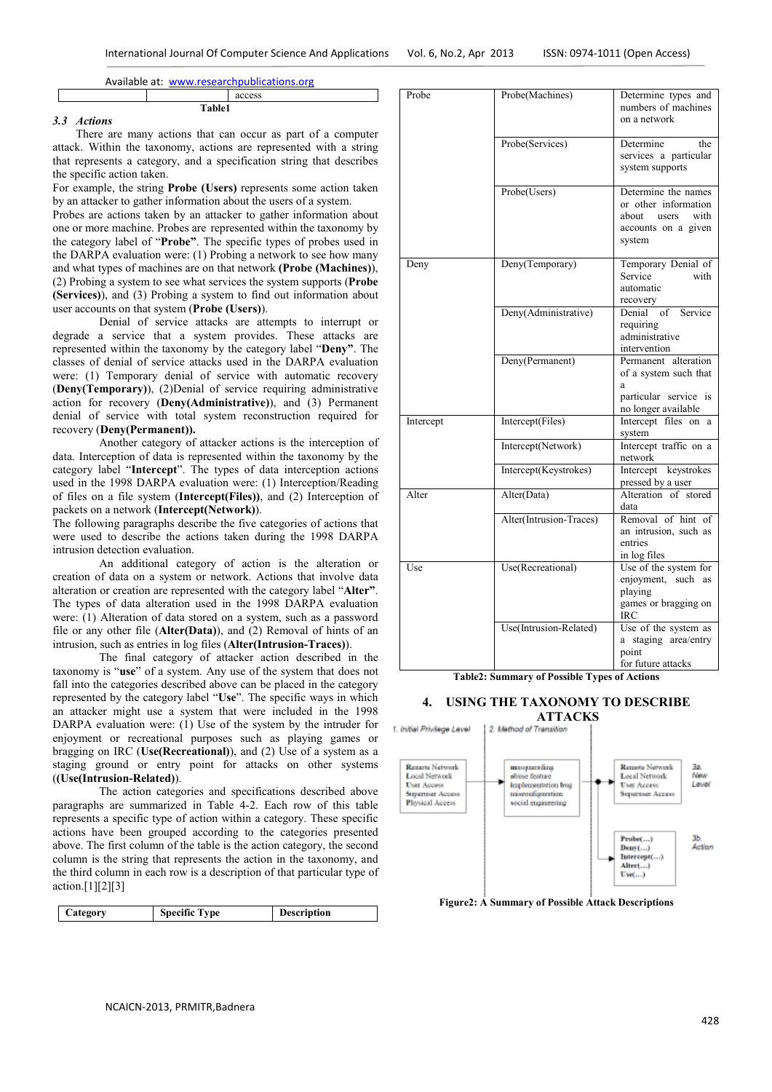|        | access |
|--------|--------|
| Table1 |        |

## *3.3 Actions*

There are many actions that can occur as part of a computer attack. Within the taxonomy, actions are represented with a string that represents a category, and a specification string that describes the specific action taken.

For example, the string **Probe (Users)** represents some action taken by an attacker to gather information about the users of a system.

Probes are actions taken by an attacker to gather information about one or more machine. Probes are represented within the taxonomy by the category label of "**Probe"**. The specific types of probes used in the DARPA evaluation were: (1) Probing a network to see how many and what types of machines are on that network **(Probe (Machines)**), (2) Probing a system to see what services the system supports (**Probe (Services)**), and (3) Probing a system to find out information about user accounts on that system (**Probe (Users)**).

Denial of service attacks are attempts to interrupt or degrade a service that a system provides. These attacks are represented within the taxonomy by the category label "**Deny"**. The classes of denial of service attacks used in the DARPA evaluation were: (1) Temporary denial of service with automatic recovery (**Deny(Temporary)**), (2)Denial of service requiring administrative action for recovery (**Deny(Administrative)**), and (3) Permanent denial of service with total system reconstruction required for recovery (**Deny(Permanent)).** 

Another category of attacker actions is the interception of data. Interception of data is represented within the taxonomy by the category label "**Intercept**". The types of data interception actions used in the 1998 DARPA evaluation were: (1) Interception/Reading of files on a file system (**Intercept(Files))**, and (2) Interception of packets on a network (**Intercept(Network)**).

The following paragraphs describe the five categories of actions that were used to describe the actions taken during the 1998 DARPA intrusion detection evaluation.

An additional category of action is the alteration or creation of data on a system or network. Actions that involve data alteration or creation are represented with the category label "**Alter"**. The types of data alteration used in the 1998 DARPA evaluation were: (1) Alteration of data stored on a system, such as a password file or any other file (**Alter(Data)**), and (2) Removal of hints of an intrusion, such as entries in log files (**Alter(Intrusion-Traces)**).

The final category of attacker action described in the taxonomy is "**use**" of a system. Any use of the system that does not fall into the categories described above can be placed in the category represented by the category label "**Use**". The specific ways in which an attacker might use a system that were included in the 1998 DARPA evaluation were: (1) Use of the system by the intruder for enjoyment or recreational purposes such as playing games or bragging on IRC (**Use(Recreational)**), and (2) Use of a system as a staging ground or entry point for attacks on other systems (**(Use(Intrusion-Related)**).

The action categories and specifications described above paragraphs are summarized in Table 4-2. Each row of this table represents a specific type of action within a category. These specific actions have been grouped according to the categories presented above. The first column of the table is the action category, the second column is the string that represents the action in the taxonomy, and the third column in each row is a description of that particular type of action.[1][2][3]

| Category | <b>Specific Type</b> | Description |
|----------|----------------------|-------------|

| Probe     | Probe(Machines)         | Determine types and<br>numbers of machines<br>on a network                                         |  |
|-----------|-------------------------|----------------------------------------------------------------------------------------------------|--|
|           | Probe(Services)         | Determine<br>the<br>services a particular<br>system supports                                       |  |
|           | Probe(Users)            | Determine the names<br>or other information<br>about users with<br>accounts on a given<br>system   |  |
| Deny      | Deny(Temporary)         | Temporary Denial of<br>Service<br>with<br>automatic<br>recovery                                    |  |
|           | Deny(Administrative)    | of Service<br>Denial<br>requiring<br>administrative<br>intervention                                |  |
|           | Deny(Permanent)         | Permanent alteration<br>of a system such that<br>a<br>particular service is<br>no longer available |  |
| Intercept | Intercept(Files)        | Intercept files on a<br>system                                                                     |  |
|           | Intercept(Network)      | Intercept traffic on a<br>network                                                                  |  |
|           | Intercept(Keystrokes)   | Intercept keystrokes<br>pressed by a user                                                          |  |
| Alter     | Alter(Data)             | Alteration of stored<br>data                                                                       |  |
|           | Alter(Intrusion-Traces) | Removal of hint of<br>an intrusion, such as<br>entries<br>in log files                             |  |
| Use       | Use(Recreational)       | Use of the system for<br>enjoyment, such as<br>playing<br>games or bragging on<br>IRC              |  |
|           | Use(Intrusion-Related)  | Use of the system as<br>a staging area/entry<br>point<br>for future attacks                        |  |

**Table2: Summary of Possible Types of Actions** 

## **4. USING THE TAXONOMY TO DESCRIBE**



**Figure2: A Summary of Possible Attack Descriptions**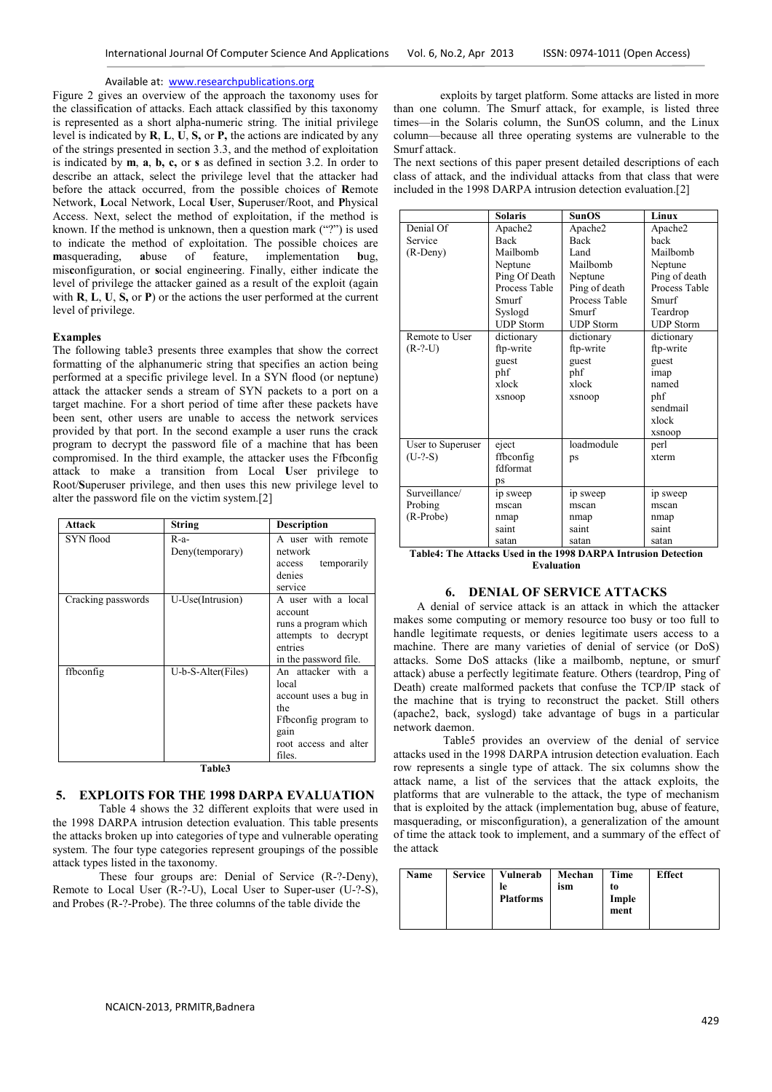Figure 2 gives an overview of the approach the taxonomy uses for the classification of attacks. Each attack classified by this taxonomy is represented as a short alpha-numeric string. The initial privilege level is indicated by **R**, **L**, **U**, **S,** or **P,** the actions are indicated by any of the strings presented in section 3.3, and the method of exploitation is indicated by **m**, **a**, **b, c,** or **s** as defined in section 3.2. In order to describe an attack, select the privilege level that the attacker had before the attack occurred, from the possible choices of **R**emote Network, **L**ocal Network, Local **U**ser, **S**uperuser/Root, and **P**hysical Access. Next, select the method of exploitation, if the method is known. If the method is unknown, then a question mark  $($ "?") is used to indicate the method of exploitation. The possible choices are masquerading, abuse of feature, implementation bug. **m**asquerading, **a**buse of feature, implementation **b**ug, mis**c**onfiguration, or **s**ocial engineering. Finally, either indicate the level of privilege the attacker gained as a result of the exploit (again with **R**, **L**, **U**, **S,** or **P**) or the actions the user performed at the current level of privilege.

### **Examples**

The following table3 presents three examples that show the correct formatting of the alphanumeric string that specifies an action being performed at a specific privilege level. In a SYN flood (or neptune) attack the attacker sends a stream of SYN packets to a port on a target machine. For a short period of time after these packets have been sent, other users are unable to access the network services provided by that port. In the second example a user runs the crack program to decrypt the password file of a machine that has been compromised. In the third example, the attacker uses the Ffbconfig attack to make a transition from Local **U**ser privilege to Root/**S**uperuser privilege, and then uses this new privilege level to alter the password file on the victim system.[2]

| <b>Attack</b>      | <b>String</b>             | <b>Description</b>                                                                                                             |
|--------------------|---------------------------|--------------------------------------------------------------------------------------------------------------------------------|
| SYN flood          | $R-a-$<br>Deny(temporary) | A user with remote<br>network<br>temporarily<br>access<br>denies<br>service                                                    |
| Cracking passwords | U-Use(Intrusion)          | A user with a local<br>account<br>runs a program which<br>attempts to decrypt<br>entries<br>in the password file.              |
| ffbconfig          | U-b-S-Alter(Files)        | An attacker with a<br>local<br>account uses a bug in<br>the<br>Ffbconfig program to<br>gain<br>root access and alter<br>files. |

**Table3** 

## **5. EXPLOITS FOR THE 1998 DARPA EVALUATION**

Table 4 shows the 32 different exploits that were used in the 1998 DARPA intrusion detection evaluation. This table presents the attacks broken up into categories of type and vulnerable operating system. The four type categories represent groupings of the possible attack types listed in the taxonomy.

These four groups are: Denial of Service (R-?-Deny), Remote to Local User  $(R^{-2}-U)$ , Local User to Super-user  $(U^{-2}-S)$ , and Probes (R-?-Probe). The three columns of the table divide the

exploits by target platform. Some attacks are listed in more than one column. The Smurf attack, for example, is listed three times—in the Solaris column, the SunOS column, and the Linux column—because all three operating systems are vulnerable to the Smurf attack.

The next sections of this paper present detailed descriptions of each class of attack, and the individual attacks from that class that were included in the 1998 DARPA intrusion detection evaluation.[2]

|                   | <b>Solaris</b>                         | SunOS                                                   | Linux              |
|-------------------|----------------------------------------|---------------------------------------------------------|--------------------|
| Denial Of         | Apache2                                | Apache2                                                 | Apache2            |
| Service           | <b>Back</b>                            | <b>Back</b>                                             | back               |
| $(R-Deny)$        | Mailbomb                               | Land                                                    | Mailbomb           |
|                   | Neptune                                | Mailbomb                                                | Neptune            |
|                   | Ping Of Death                          | Neptune                                                 | Ping of death      |
|                   | Process Table                          | Ping of death                                           | Process Table      |
|                   | Smurf                                  | Process Table                                           | Smurf              |
|                   | Syslogd                                | Smurf                                                   | Teardrop           |
|                   | <b>UDP</b> Storm                       | <b>UDP</b> Storm                                        | <b>UDP</b> Storm   |
| Remote to User    | dictionary                             | dictionary                                              | dictionary         |
| $(R-?-U)$         | ftp-write                              | ftp-write                                               | ftp-write          |
|                   | guest                                  | guest                                                   | guest              |
|                   | phf                                    | phf                                                     | imap               |
|                   | xlock                                  | xlock                                                   | named              |
|                   | xsnoop                                 | xsnoop                                                  | phf                |
|                   |                                        |                                                         | sendmail           |
|                   |                                        |                                                         | xlock              |
|                   |                                        |                                                         | xsnoop             |
| User to Superuser | eject                                  | loadmodule                                              | perl               |
| $(U-?-S)$         | ffbconfig                              | ps                                                      | xterm              |
|                   | fdformat                               |                                                         |                    |
|                   | ps                                     |                                                         |                    |
| Surveillance/     | ip sweep                               | ip sweep                                                | ip sweep           |
| Probing           | mscan                                  | mscan                                                   | mscan              |
| (R-Probe)         | nmap                                   | nmap                                                    | nmap               |
|                   | saint                                  | saint                                                   | saint              |
| <b>CONTRACTOR</b> | satan<br>$\mathbf{r}$ and $\mathbf{r}$ | satan<br>$1000 \text{ N} \cdot \text{N} \cdot \text{I}$ | satan<br>$\cdot$ . |

**Table4: The Attacks Used in the 1998 DARPA Intrusion Detection Evaluation** 

## **6. DENIAL OF SERVICE ATTACKS**

A denial of service attack is an attack in which the attacker makes some computing or memory resource too busy or too full to handle legitimate requests, or denies legitimate users access to a machine. There are many varieties of denial of service (or DoS) attacks. Some DoS attacks (like a mailbomb, neptune, or smurf attack) abuse a perfectly legitimate feature. Others (teardrop, Ping of Death) create malformed packets that confuse the TCP/IP stack of the machine that is trying to reconstruct the packet. Still others (apache2, back, syslogd) take advantage of bugs in a particular network daemon.

 Table5 provides an overview of the denial of service attacks used in the 1998 DARPA intrusion detection evaluation. Each row represents a single type of attack. The six columns show the attack name, a list of the services that the attack exploits, the platforms that are vulnerable to the attack, the type of mechanism that is exploited by the attack (implementation bug, abuse of feature, masquerading, or misconfiguration), a generalization of the amount of time the attack took to implement, and a summary of the effect of the attack

| Name<br><b>Service</b> | Vulnerab<br>ıе<br><b>Platforms</b> | Mechan<br>ism | Time<br>to<br>Imple<br>ment | <b>Effect</b> |
|------------------------|------------------------------------|---------------|-----------------------------|---------------|
|------------------------|------------------------------------|---------------|-----------------------------|---------------|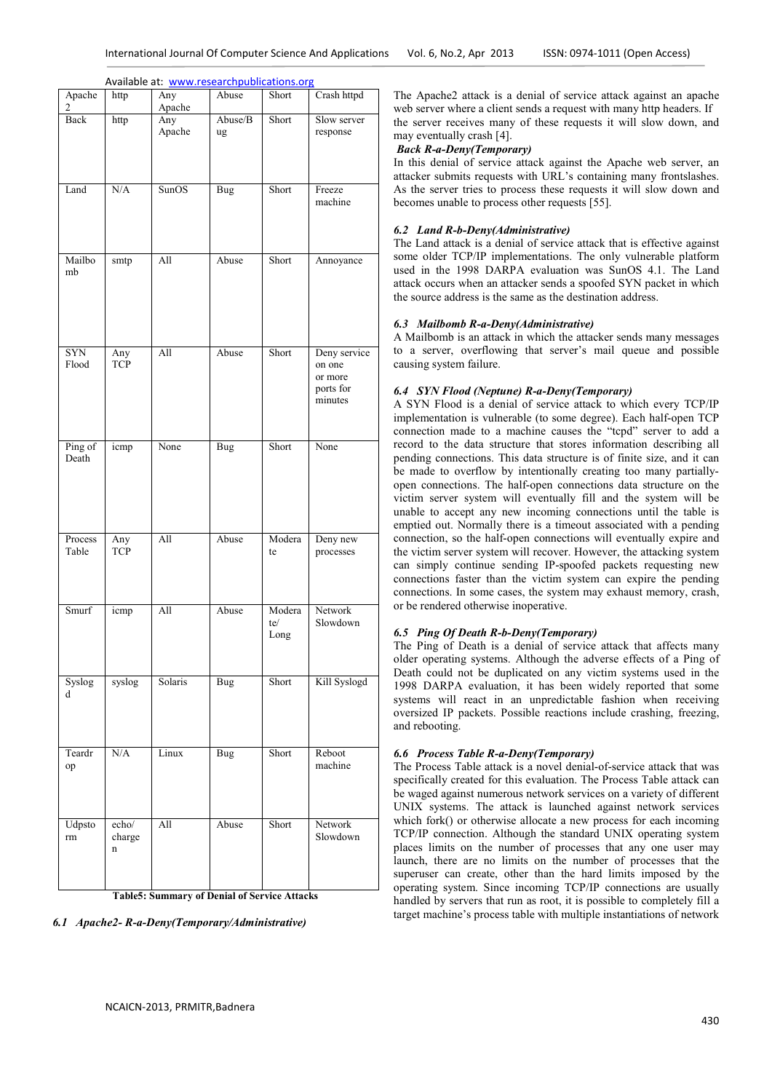| Apache<br>2         | http                 | Any<br>Apache | Abuse         | Short                 | Crash httpd                                               |
|---------------------|----------------------|---------------|---------------|-----------------------|-----------------------------------------------------------|
| Back                | http                 | Any<br>Apache | Abuse/B<br>ug | Short                 | Slow server<br>response                                   |
| Land                | N/A                  | SunOS         | Bug           | Short                 | Freeze<br>machine                                         |
| Mailbo<br>mb        | smtp                 | All           | Abuse         | Short                 | Annoyance                                                 |
| <b>SYN</b><br>Flood | Any<br><b>TCP</b>    | All           | Abuse         | Short                 | Deny service<br>on one<br>or more<br>ports for<br>minutes |
| Ping of<br>Death    | icmp                 | None          | <b>Bug</b>    | Short                 | None                                                      |
| Process<br>Table    | Any<br><b>TCP</b>    | All           | Abuse         | Modera<br>te          | Deny new<br>processes                                     |
| Smurf               | icmp                 | All           | Abuse         | Modera<br>te/<br>Long | Network<br>Slowdown                                       |
| Syslog<br>d         | syslog               | Solaris       | Bug           | Short                 | Kill Syslogd                                              |
| Teardr<br>op        | N/A                  | Linux         | Bug           | Short                 | Reboot<br>machine                                         |
| Udpsto<br>rm        | echo/<br>charge<br>n | All           | Abuse         | Short                 | Network<br>Slowdown                                       |

The Apache2 attack is a denial of service attack against an apache web server where a client sends a request with many http headers. If the server receives many of these requests it will slow down, and may eventually crash [4].

## *Back R-a-Deny(Temporary)*

In this denial of service attack against the Apache web server, an attacker submits requests with URL's containing many frontslashes. As the server tries to process these requests it will slow down and becomes unable to process other requests [55].

## *6.2 Land R-b-Deny(Administrative)*

The Land attack is a denial of service attack that is effective against some older TCP/IP implementations. The only vulnerable platform used in the 1998 DARPA evaluation was SunOS 4.1. The Land attack occurs when an attacker sends a spoofed SYN packet in which the source address is the same as the destination address.

## *6.3 Mailbomb R-a-Deny(Administrative)*

A Mailbomb is an attack in which the attacker sends many messages to a server, overflowing that server's mail queue and possible causing system failure.

## *6.4 SYN Flood (Neptune) R-a-Deny(Temporary)*

A SYN Flood is a denial of service attack to which every TCP/IP implementation is vulnerable (to some degree). Each half-open TCP connection made to a machine causes the "tcpd" server to add a record to the data structure that stores information describing all pending connections. This data structure is of finite size, and it can be made to overflow by intentionally creating too many partiallyopen connections. The half-open connections data structure on the victim server system will eventually fill and the system will be unable to accept any new incoming connections until the table is emptied out. Normally there is a timeout associated with a pending connection, so the half-open connections will eventually expire and the victim server system will recover. However, the attacking system can simply continue sending IP-spoofed packets requesting new connections faster than the victim system can expire the pending connections. In some cases, the system may exhaust memory, crash, or be rendered otherwise inoperative.

## *6.5 Ping Of Death R-b-Deny(Temporary)*

The Ping of Death is a denial of service attack that affects many older operating systems. Although the adverse effects of a Ping of Death could not be duplicated on any victim systems used in the 1998 DARPA evaluation, it has been widely reported that some systems will react in an unpredictable fashion when receiving oversized IP packets. Possible reactions include crashing, freezing, and rebooting.

## *6.6 Process Table R-a-Deny(Temporary)*

The Process Table attack is a novel denial-of-service attack that was specifically created for this evaluation. The Process Table attack can be waged against numerous network services on a variety of different UNIX systems. The attack is launched against network services which fork() or otherwise allocate a new process for each incoming TCP/IP connection. Although the standard UNIX operating system places limits on the number of processes that any one user may launch, there are no limits on the number of processes that the superuser can create, other than the hard limits imposed by the operating system. Since incoming TCP/IP connections are usually handled by servers that run as root, it is possible to completely fill a target machine's process table with multiple instantiations of network

*6.1 Apache2- R-a-Deny(Temporary/Administrative)*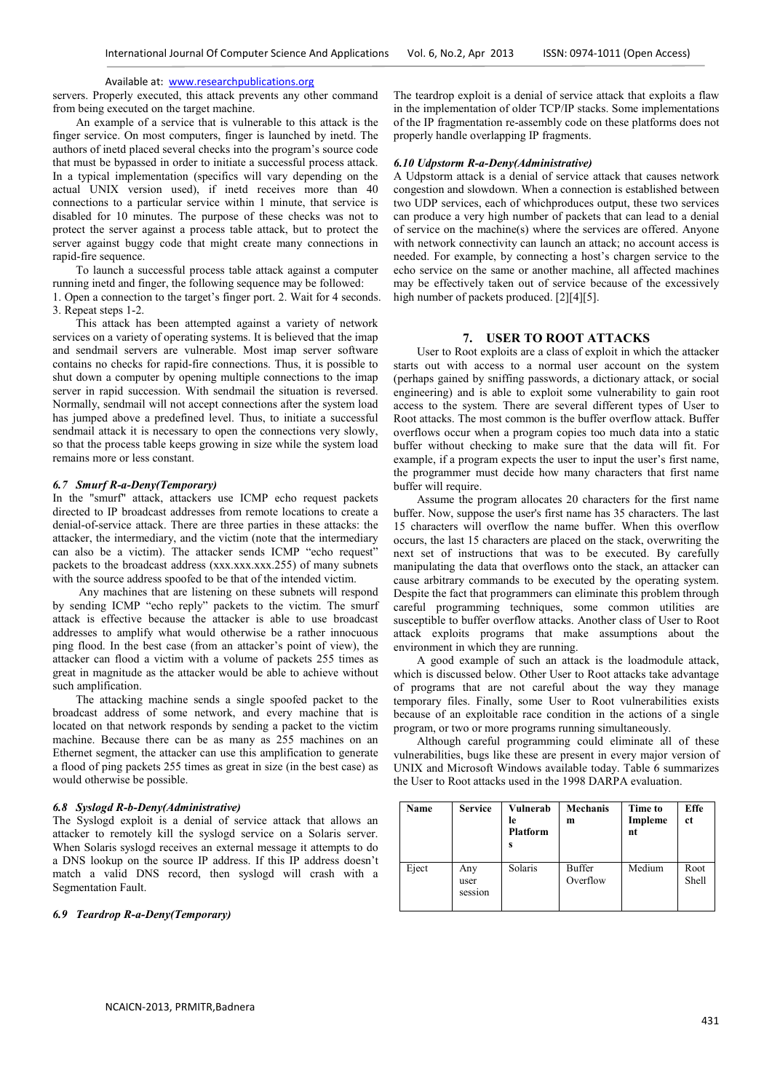servers. Properly executed, this attack prevents any other command from being executed on the target machine.

An example of a service that is vulnerable to this attack is the finger service. On most computers, finger is launched by inetd. The authors of inetd placed several checks into the program's source code that must be bypassed in order to initiate a successful process attack. In a typical implementation (specifics will vary depending on the actual UNIX version used), if inetd receives more than 40 connections to a particular service within 1 minute, that service is disabled for 10 minutes. The purpose of these checks was not to protect the server against a process table attack, but to protect the server against buggy code that might create many connections in rapid-fire sequence.

To launch a successful process table attack against a computer running inetd and finger, the following sequence may be followed:

1. Open a connection to the target's finger port. 2. Wait for 4 seconds. 3. Repeat steps 1-2.

This attack has been attempted against a variety of network services on a variety of operating systems. It is believed that the imap and sendmail servers are vulnerable. Most imap server software contains no checks for rapid-fire connections. Thus, it is possible to shut down a computer by opening multiple connections to the imap server in rapid succession. With sendmail the situation is reversed. Normally, sendmail will not accept connections after the system load has jumped above a predefined level. Thus, to initiate a successful sendmail attack it is necessary to open the connections very slowly, so that the process table keeps growing in size while the system load remains more or less constant.

## *6.7 Smurf R-a-Deny(Temporary)*

In the "smurf" attack, attackers use ICMP echo request packets directed to IP broadcast addresses from remote locations to create a denial-of-service attack. There are three parties in these attacks: the attacker, the intermediary, and the victim (note that the intermediary can also be a victim). The attacker sends ICMP "echo request" packets to the broadcast address  $(xxx,xxx,xxx.255)$  of many subnets with the source address spoofed to be that of the intended victim.

 Any machines that are listening on these subnets will respond by sending ICMP "echo reply" packets to the victim. The smurf attack is effective because the attacker is able to use broadcast addresses to amplify what would otherwise be a rather innocuous ping flood. In the best case (from an attacker's point of view), the attacker can flood a victim with a volume of packets 255 times as great in magnitude as the attacker would be able to achieve without such amplification.

The attacking machine sends a single spoofed packet to the broadcast address of some network, and every machine that is located on that network responds by sending a packet to the victim machine. Because there can be as many as 255 machines on an Ethernet segment, the attacker can use this amplification to generate a flood of ping packets 255 times as great in size (in the best case) as would otherwise be possible.

#### *6.8 Syslogd R-b-Deny(Administrative)*

The Syslogd exploit is a denial of service attack that allows an attacker to remotely kill the syslogd service on a Solaris server. When Solaris syslogd receives an external message it attempts to do a DNS lookup on the source IP address. If this IP address doesn't match a valid DNS record, then syslogd will crash with a Segmentation Fault.

## *6.9 Teardrop R-a-Deny(Temporary)*

The teardrop exploit is a denial of service attack that exploits a flaw in the implementation of older TCP/IP stacks. Some implementations of the IP fragmentation re-assembly code on these platforms does not properly handle overlapping IP fragments.

#### *6.10 Udpstorm R-a-Deny(Administrative)*

A Udpstorm attack is a denial of service attack that causes network congestion and slowdown. When a connection is established between two UDP services, each of whichproduces output, these two services can produce a very high number of packets that can lead to a denial of service on the machine(s) where the services are offered. Anyone with network connectivity can launch an attack; no account access is needed. For example, by connecting a host's chargen service to the echo service on the same or another machine, all affected machines may be effectively taken out of service because of the excessively high number of packets produced. [2][4][5].

## **7. USER TO ROOT ATTACKS**

User to Root exploits are a class of exploit in which the attacker starts out with access to a normal user account on the system (perhaps gained by sniffing passwords, a dictionary attack, or social engineering) and is able to exploit some vulnerability to gain root access to the system. There are several different types of User to Root attacks. The most common is the buffer overflow attack. Buffer overflows occur when a program copies too much data into a static buffer without checking to make sure that the data will fit. For example, if a program expects the user to input the user's first name, the programmer must decide how many characters that first name buffer will require.

Assume the program allocates 20 characters for the first name buffer. Now, suppose the user's first name has 35 characters. The last 15 characters will overflow the name buffer. When this overflow occurs, the last 15 characters are placed on the stack, overwriting the next set of instructions that was to be executed. By carefully manipulating the data that overflows onto the stack, an attacker can cause arbitrary commands to be executed by the operating system. Despite the fact that programmers can eliminate this problem through careful programming techniques, some common utilities are susceptible to buffer overflow attacks. Another class of User to Root attack exploits programs that make assumptions about the environment in which they are running.

A good example of such an attack is the loadmodule attack, which is discussed below. Other User to Root attacks take advantage of programs that are not careful about the way they manage temporary files. Finally, some User to Root vulnerabilities exists because of an exploitable race condition in the actions of a single program, or two or more programs running simultaneously.

Although careful programming could eliminate all of these vulnerabilities, bugs like these are present in every major version of UNIX and Microsoft Windows available today. Table 6 summarizes the User to Root attacks used in the 1998 DARPA evaluation.

| Name  | <b>Service</b>         | Vulnerab<br>le<br><b>Platform</b><br>S | Mechanis<br>m      | Time to<br>Impleme<br>nt | Effe<br>ct    |
|-------|------------------------|----------------------------------------|--------------------|--------------------------|---------------|
| Eject | Any<br>user<br>session | Solaris                                | Buffer<br>Overflow | Medium                   | Root<br>Shell |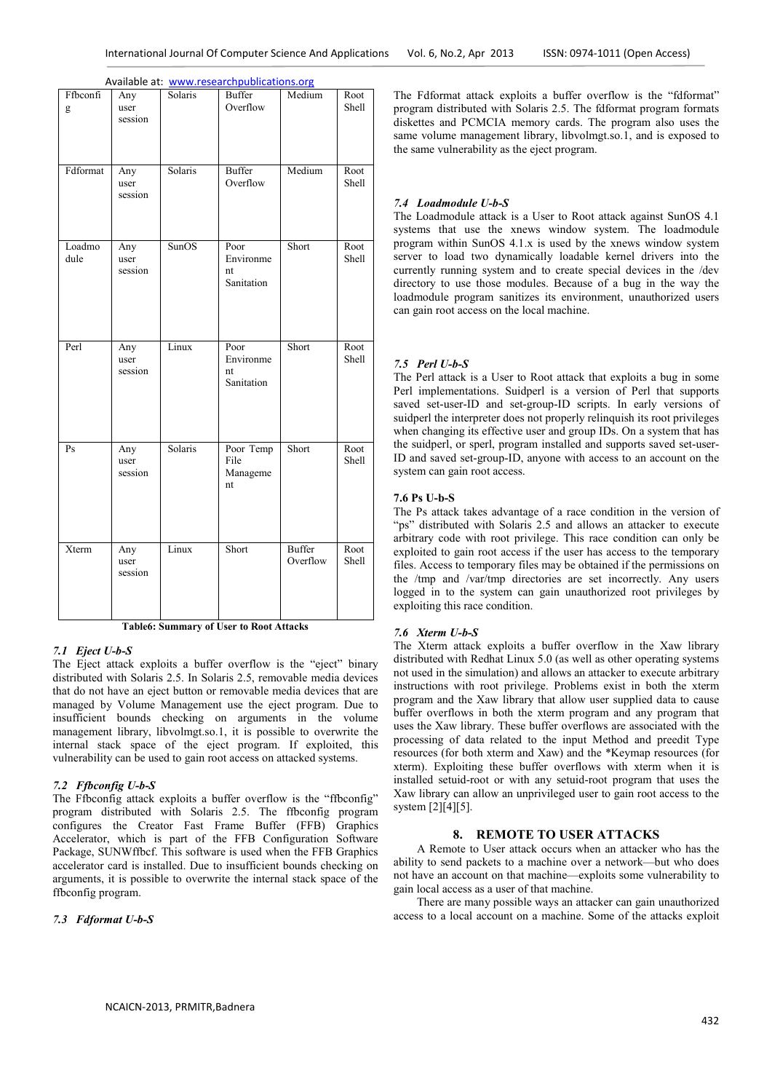| Ffbconfi<br>g  | Any<br>user<br>session | Solaris | Buffer<br>Overflow                    | Medium                    | Root<br>Shell |
|----------------|------------------------|---------|---------------------------------------|---------------------------|---------------|
| Fdformat       | Any<br>user<br>session | Solaris | <b>Buffer</b><br>Overflow             | Medium                    | Root<br>Shell |
| Loadmo<br>dule | Any<br>user<br>session | SunOS   | Poor<br>Environme<br>nt<br>Sanitation | Short                     | Root<br>Shell |
| Perl           | Any<br>user<br>session | Linux   | Poor<br>Environme<br>nt<br>Sanitation | Short                     | Root<br>Shell |
| Ps             | Any<br>user<br>session | Solaris | Poor Temp<br>File<br>Manageme<br>nt   | Short                     | Root<br>Shell |
| Xterm          | Any<br>user<br>session | Linux   | Short                                 | <b>Buffer</b><br>Overflow | Root<br>Shell |

**Table6: Summary of User to Root Attacks** 

## *7.1 Eject U-b-S*

The Eject attack exploits a buffer overflow is the "eject" binary distributed with Solaris 2.5. In Solaris 2.5, removable media devices that do not have an eject button or removable media devices that are managed by Volume Management use the eject program. Due to insufficient bounds checking on arguments in the volume management library, libvolmgt.so.1, it is possible to overwrite the internal stack space of the eject program. If exploited, this vulnerability can be used to gain root access on attacked systems.

## *7.2 Ffbconfig U-b-S*

The Ffbconfig attack exploits a buffer overflow is the "ffbconfig" program distributed with Solaris 2.5. The ffbconfig program configures the Creator Fast Frame Buffer (FFB) Graphics Accelerator, which is part of the FFB Configuration Software Package, SUNWffbcf. This software is used when the FFB Graphics accelerator card is installed. Due to insufficient bounds checking on arguments, it is possible to overwrite the internal stack space of the ffbconfig program.

## *7.3 Fdformat U-b-S*

The Fdformat attack exploits a buffer overflow is the "fdformat" program distributed with Solaris 2.5. The fdformat program formats diskettes and PCMCIA memory cards. The program also uses the same volume management library, libvolmgt.so.1, and is exposed to the same vulnerability as the eject program.

#### *7.4 Loadmodule U-b-S*

The Loadmodule attack is a User to Root attack against SunOS 4.1 systems that use the xnews window system. The loadmodule program within SunOS 4.1.x is used by the xnews window system server to load two dynamically loadable kernel drivers into the currently running system and to create special devices in the /dev directory to use those modules. Because of a bug in the way the loadmodule program sanitizes its environment, unauthorized users can gain root access on the local machine.

## *7.5 Perl U-b-S*

The Perl attack is a User to Root attack that exploits a bug in some Perl implementations. Suidperl is a version of Perl that supports saved set-user-ID and set-group-ID scripts. In early versions of suidperl the interpreter does not properly relinquish its root privileges when changing its effective user and group IDs. On a system that has the suidperl, or sperl, program installed and supports saved set-user-ID and saved set-group-ID, anyone with access to an account on the system can gain root access.

## **7.6 Ps U-b-S**

The Ps attack takes advantage of a race condition in the version of "ps" distributed with Solaris 2.5 and allows an attacker to execute arbitrary code with root privilege. This race condition can only be exploited to gain root access if the user has access to the temporary files. Access to temporary files may be obtained if the permissions on the /tmp and /var/tmp directories are set incorrectly. Any users logged in to the system can gain unauthorized root privileges by exploiting this race condition.

## *7.6 Xterm U-b-S*

The Xterm attack exploits a buffer overflow in the Xaw library distributed with Redhat Linux 5.0 (as well as other operating systems not used in the simulation) and allows an attacker to execute arbitrary instructions with root privilege. Problems exist in both the xterm program and the Xaw library that allow user supplied data to cause buffer overflows in both the xterm program and any program that uses the Xaw library. These buffer overflows are associated with the processing of data related to the input Method and preedit Type resources (for both xterm and Xaw) and the \*Keymap resources (for xterm). Exploiting these buffer overflows with xterm when it is installed setuid-root or with any setuid-root program that uses the Xaw library can allow an unprivileged user to gain root access to the system [2][4][5].

## **8. REMOTE TO USER ATTACKS**

A Remote to User attack occurs when an attacker who has the ability to send packets to a machine over a network—but who does not have an account on that machine—exploits some vulnerability to gain local access as a user of that machine.

There are many possible ways an attacker can gain unauthorized access to a local account on a machine. Some of the attacks exploit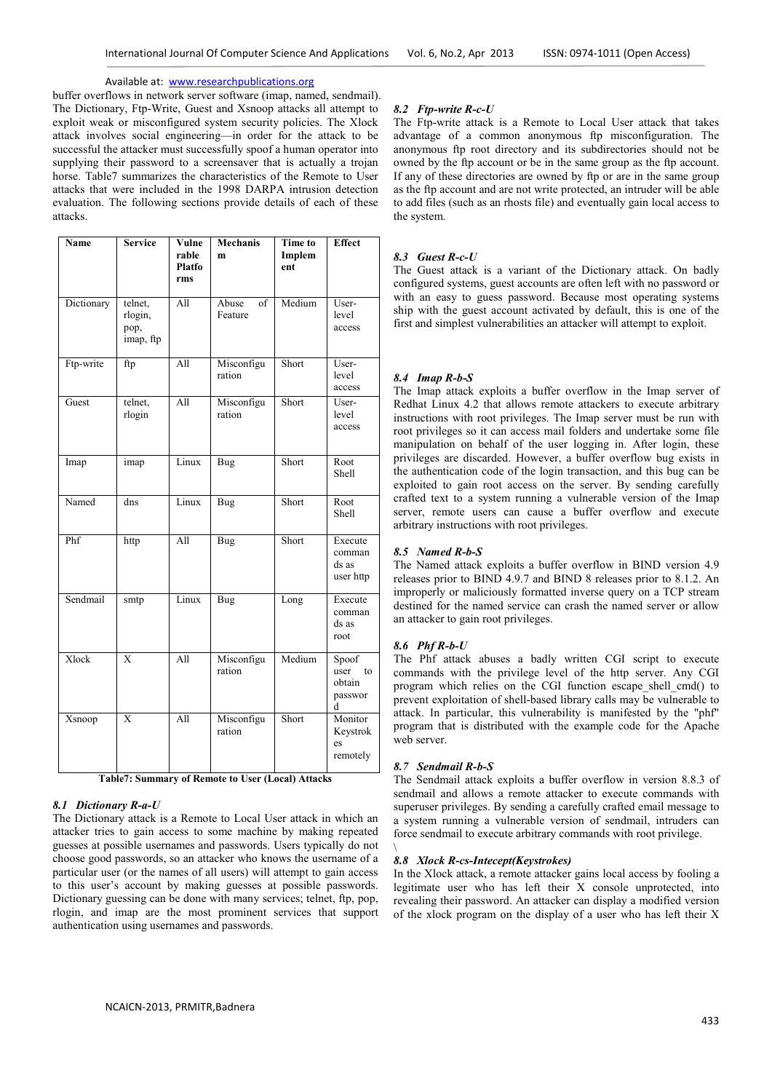buffer overflows in network server software (imap, named, sendmail). The Dictionary, Ftp-Write, Guest and Xsnoop attacks all attempt to exploit weak or misconfigured system security policies. The Xlock attack involves social engineering—in order for the attack to be successful the attacker must successfully spoof a human operator into supplying their password to a screensaver that is actually a trojan horse. Table7 summarizes the characteristics of the Remote to User attacks that were included in the 1998 DARPA intrusion detection evaluation. The following sections provide details of each of these attacks.

| Name       | <b>Service</b>                          | Vulne<br>rable<br>Platfo<br>rms | <b>Mechanis</b><br>m   | <b>Time to</b><br>Implem<br>ent | <b>Effect</b>                                 |
|------------|-----------------------------------------|---------------------------------|------------------------|---------------------------------|-----------------------------------------------|
| Dictionary | telnet,<br>rlogin,<br>pop,<br>imap, ftp | All                             | Abuse<br>of<br>Feature | Medium                          | User-<br>level<br>access                      |
| Ftp-write  | ftp                                     | All                             | Misconfigu<br>ration   | Short                           | User-<br>level<br>access                      |
| Guest      | telnet,<br>rlogin                       | $\overline{All}$                | Misconfigu<br>ration   | Short                           | User-<br>level<br>access                      |
| Imap       | imap                                    | Linux                           | Bug                    | Short                           | Root<br>Shell                                 |
| Named      | dns                                     | Linux                           | <b>Bug</b>             | Short                           | Root<br>Shell                                 |
| Phf        | http                                    | All                             | Bug                    | Short                           | Execute<br>comman<br>ds as<br>user http       |
| Sendmail   | smtp                                    | Linux                           | <b>Bug</b>             | Long                            | Execute<br>comman<br>ds as<br>root            |
| Xlock      | $\overline{\mathbf{x}}$                 | $\overline{All}$                | Misconfigu<br>ration   | Medium                          | Spoof<br>user<br>to<br>obtain<br>passwor<br>d |
| Xsnoop     | X                                       | All                             | Misconfigu<br>ration   | Short                           | Monitor<br>Keystrok<br>es<br>remotely         |

**Table7: Summary of Remote to User (Local) Attacks**

## *8.1 Dictionary R-a-U*

The Dictionary attack is a Remote to Local User attack in which an attacker tries to gain access to some machine by making repeated guesses at possible usernames and passwords. Users typically do not choose good passwords, so an attacker who knows the username of a particular user (or the names of all users) will attempt to gain access to this user's account by making guesses at possible passwords. Dictionary guessing can be done with many services; telnet, ftp, pop, rlogin, and imap are the most prominent services that support authentication using usernames and passwords.

## *8.2 Ftp-write R-c-U*

The Ftp-write attack is a Remote to Local User attack that takes advantage of a common anonymous ftp misconfiguration. The anonymous ftp root directory and its subdirectories should not be owned by the ftp account or be in the same group as the ftp account. If any of these directories are owned by ftp or are in the same group as the ftp account and are not write protected, an intruder will be able to add files (such as an rhosts file) and eventually gain local access to the system.

## *8.3 Guest R-c-U*

The Guest attack is a variant of the Dictionary attack. On badly configured systems, guest accounts are often left with no password or with an easy to guess password. Because most operating systems ship with the guest account activated by default, this is one of the first and simplest vulnerabilities an attacker will attempt to exploit.

## *8.4 Imap R-b-S*

The Imap attack exploits a buffer overflow in the Imap server of Redhat Linux 4.2 that allows remote attackers to execute arbitrary instructions with root privileges. The Imap server must be run with root privileges so it can access mail folders and undertake some file manipulation on behalf of the user logging in. After login, these privileges are discarded. However, a buffer overflow bug exists in the authentication code of the login transaction, and this bug can be exploited to gain root access on the server. By sending carefully crafted text to a system running a vulnerable version of the Imap server, remote users can cause a buffer overflow and execute arbitrary instructions with root privileges.

### *8.5 Named R-b-S*

The Named attack exploits a buffer overflow in BIND version 4.9 releases prior to BIND 4.9.7 and BIND 8 releases prior to 8.1.2. An improperly or maliciously formatted inverse query on a TCP stream destined for the named service can crash the named server or allow an attacker to gain root privileges.

## *8.6 Phf R-b-U*

The Phf attack abuses a badly written CGI script to execute commands with the privilege level of the http server. Any CGI program which relies on the CGI function escape shell cmd() to prevent exploitation of shell-based library calls may be vulnerable to attack. In particular, this vulnerability is manifested by the "phf" program that is distributed with the example code for the Apache web server.

### *8.7 Sendmail R-b-S*

\

The Sendmail attack exploits a buffer overflow in version 8.8.3 of sendmail and allows a remote attacker to execute commands with superuser privileges. By sending a carefully crafted email message to a system running a vulnerable version of sendmail, intruders can force sendmail to execute arbitrary commands with root privilege.

### *8.8 Xlock R-cs-Intecept(Keystrokes)*

In the Xlock attack, a remote attacker gains local access by fooling a legitimate user who has left their X console unprotected, into revealing their password. An attacker can display a modified version of the xlock program on the display of a user who has left their X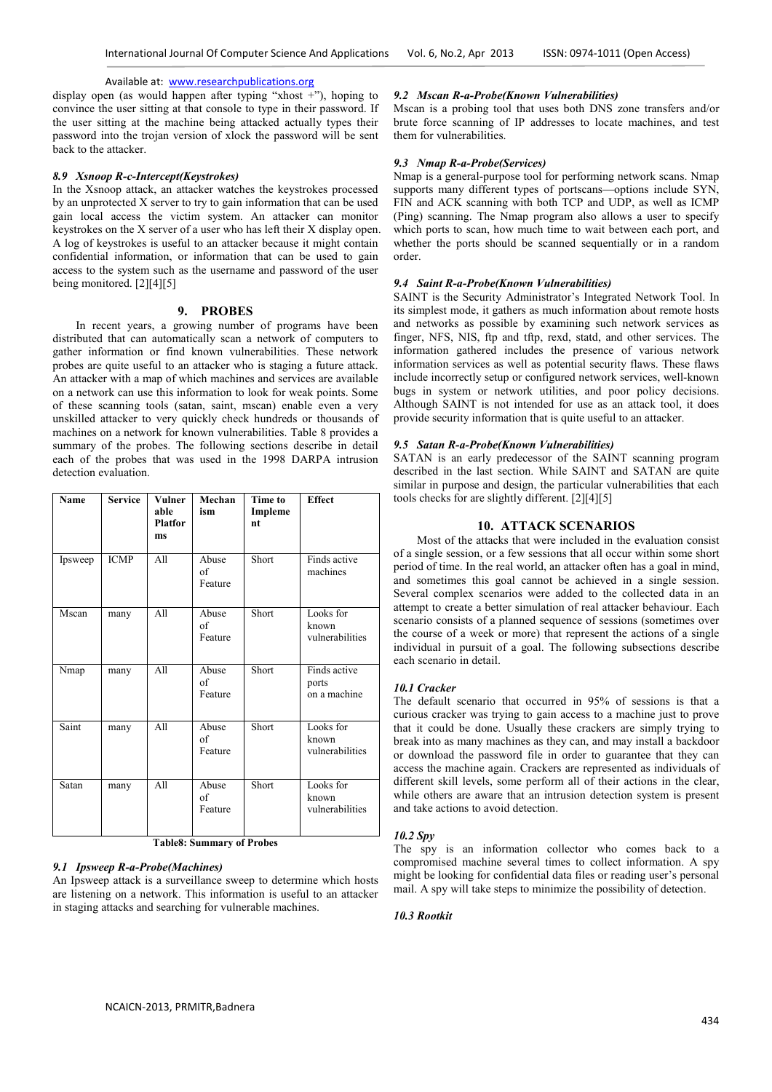display open (as would happen after typing "xhost +"), hoping to convince the user sitting at that console to type in their password. If the user sitting at the machine being attacked actually types their password into the trojan version of xlock the password will be sent back to the attacker.

## *8.9 Xsnoop R-c-Intercept(Keystrokes)*

In the Xsnoop attack, an attacker watches the keystrokes processed by an unprotected X server to try to gain information that can be used gain local access the victim system. An attacker can monitor keystrokes on the X server of a user who has left their X display open. A log of keystrokes is useful to an attacker because it might contain confidential information, or information that can be used to gain access to the system such as the username and password of the user being monitored. [2][4][5]

## **9. PROBES**

In recent years, a growing number of programs have been distributed that can automatically scan a network of computers to gather information or find known vulnerabilities. These network probes are quite useful to an attacker who is staging a future attack. An attacker with a map of which machines and services are available on a network can use this information to look for weak points. Some of these scanning tools (satan, saint, mscan) enable even a very unskilled attacker to very quickly check hundreds or thousands of machines on a network for known vulnerabilities. Table 8 provides a summary of the probes. The following sections describe in detail each of the probes that was used in the 1998 DARPA intrusion detection evaluation.

| Name    | <b>Service</b> | Vulner<br>able<br><b>Platfor</b><br>ms | Mechan<br>ism          | <b>Time to</b><br>Impleme<br>nt | <b>Effect</b>                         |
|---------|----------------|----------------------------------------|------------------------|---------------------------------|---------------------------------------|
| Ipsweep | <b>ICMP</b>    | All                                    | Abuse<br>of<br>Feature | Short                           | Finds active<br>machines              |
| Mscan   | many           | All                                    | Abuse<br>of<br>Feature | Short                           | Looks for<br>known<br>vulnerabilities |
| Nmap    | many           | A <sub>11</sub>                        | Abuse<br>of<br>Feature | Short                           | Finds active<br>ports<br>on a machine |
| Saint   | many           | All                                    | Abuse<br>of<br>Feature | Short                           | Looks for<br>known<br>vulnerabilities |
| Satan   | many           | All                                    | Abuse<br>of<br>Feature | Short                           | Looks for<br>known<br>vulnerabilities |

**Table8: Summary of Probes** 

## *9.1 Ipsweep R-a-Probe(Machines)*

An Ipsweep attack is a surveillance sweep to determine which hosts are listening on a network. This information is useful to an attacker in staging attacks and searching for vulnerable machines.

#### *9.2 Mscan R-a-Probe(Known Vulnerabilities)*

Mscan is a probing tool that uses both DNS zone transfers and/or brute force scanning of IP addresses to locate machines, and test them for vulnerabilities.

#### *9.3 Nmap R-a-Probe(Services)*

Nmap is a general-purpose tool for performing network scans. Nmap supports many different types of portscans—options include SYN, FIN and ACK scanning with both TCP and UDP, as well as ICMP (Ping) scanning. The Nmap program also allows a user to specify which ports to scan, how much time to wait between each port, and whether the ports should be scanned sequentially or in a random order.

## *9.4 Saint R-a-Probe(Known Vulnerabilities)*

SAINT is the Security Administrator's Integrated Network Tool. In its simplest mode, it gathers as much information about remote hosts and networks as possible by examining such network services as finger, NFS, NIS, ftp and tftp, rexd, statd, and other services. The information gathered includes the presence of various network information services as well as potential security flaws. These flaws include incorrectly setup or configured network services, well-known bugs in system or network utilities, and poor policy decisions. Although SAINT is not intended for use as an attack tool, it does provide security information that is quite useful to an attacker.

## *9.5 Satan R-a-Probe(Known Vulnerabilities)*

SATAN is an early predecessor of the SAINT scanning program described in the last section. While SAINT and SATAN are quite similar in purpose and design, the particular vulnerabilities that each tools checks for are slightly different. [2][4][5]

## **10. ATTACK SCENARIOS**

Most of the attacks that were included in the evaluation consist of a single session, or a few sessions that all occur within some short period of time. In the real world, an attacker often has a goal in mind, and sometimes this goal cannot be achieved in a single session. Several complex scenarios were added to the collected data in an attempt to create a better simulation of real attacker behaviour. Each scenario consists of a planned sequence of sessions (sometimes over the course of a week or more) that represent the actions of a single individual in pursuit of a goal. The following subsections describe each scenario in detail.

## *10.1 Cracker*

The default scenario that occurred in 95% of sessions is that a curious cracker was trying to gain access to a machine just to prove that it could be done. Usually these crackers are simply trying to break into as many machines as they can, and may install a backdoor or download the password file in order to guarantee that they can access the machine again. Crackers are represented as individuals of different skill levels, some perform all of their actions in the clear, while others are aware that an intrusion detection system is present and take actions to avoid detection.

#### *10.2 Spy*

The spy is an information collector who comes back to a compromised machine several times to collect information. A spy might be looking for confidential data files or reading user's personal mail. A spy will take steps to minimize the possibility of detection.

## *10.3 Rootkit*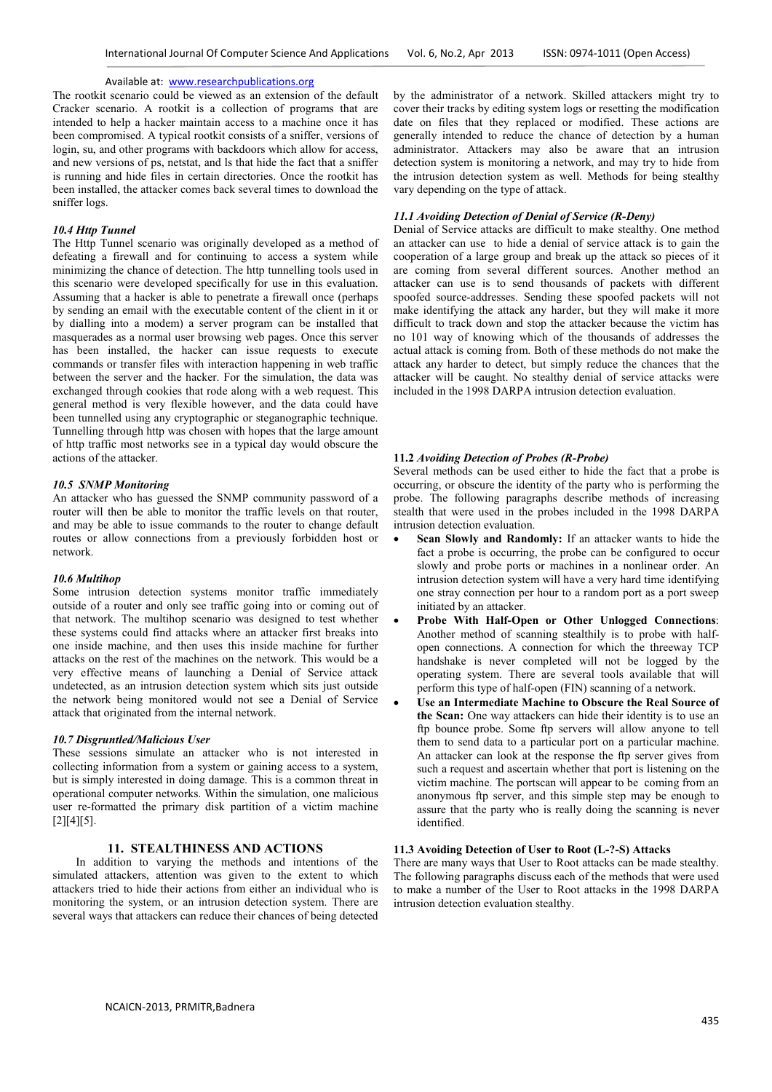The rootkit scenario could be viewed as an extension of the default Cracker scenario. A rootkit is a collection of programs that are intended to help a hacker maintain access to a machine once it has been compromised. A typical rootkit consists of a sniffer, versions of login, su, and other programs with backdoors which allow for access, and new versions of ps, netstat, and ls that hide the fact that a sniffer is running and hide files in certain directories. Once the rootkit has been installed, the attacker comes back several times to download the sniffer logs.

### *10.4 Http Tunnel*

The Http Tunnel scenario was originally developed as a method of defeating a firewall and for continuing to access a system while minimizing the chance of detection. The http tunnelling tools used in this scenario were developed specifically for use in this evaluation. Assuming that a hacker is able to penetrate a firewall once (perhaps by sending an email with the executable content of the client in it or by dialling into a modem) a server program can be installed that masquerades as a normal user browsing web pages. Once this server has been installed, the hacker can issue requests to execute commands or transfer files with interaction happening in web traffic between the server and the hacker. For the simulation, the data was exchanged through cookies that rode along with a web request. This general method is very flexible however, and the data could have been tunnelled using any cryptographic or steganographic technique. Tunnelling through http was chosen with hopes that the large amount of http traffic most networks see in a typical day would obscure the actions of the attacker.

## *10.5 SNMP Monitoring*

An attacker who has guessed the SNMP community password of a router will then be able to monitor the traffic levels on that router, and may be able to issue commands to the router to change default routes or allow connections from a previously forbidden host or network.

## *10.6 Multihop*

Some intrusion detection systems monitor traffic immediately outside of a router and only see traffic going into or coming out of that network. The multihop scenario was designed to test whether these systems could find attacks where an attacker first breaks into one inside machine, and then uses this inside machine for further attacks on the rest of the machines on the network. This would be a very effective means of launching a Denial of Service attack undetected, as an intrusion detection system which sits just outside the network being monitored would not see a Denial of Service attack that originated from the internal network.

### *10.7 Disgruntled/Malicious User*

These sessions simulate an attacker who is not interested in collecting information from a system or gaining access to a system, but is simply interested in doing damage. This is a common threat in operational computer networks. Within the simulation, one malicious user re-formatted the primary disk partition of a victim machine  $[2][4][5]$ .

## **11. STEALTHINESS AND ACTIONS**

In addition to varying the methods and intentions of the simulated attackers, attention was given to the extent to which attackers tried to hide their actions from either an individual who is monitoring the system, or an intrusion detection system. There are several ways that attackers can reduce their chances of being detected by the administrator of a network. Skilled attackers might try to cover their tracks by editing system logs or resetting the modification date on files that they replaced or modified. These actions are generally intended to reduce the chance of detection by a human administrator. Attackers may also be aware that an intrusion detection system is monitoring a network, and may try to hide from the intrusion detection system as well. Methods for being stealthy vary depending on the type of attack.

## *11.1 Avoiding Detection of Denial of Service (R-Deny)*

Denial of Service attacks are difficult to make stealthy. One method an attacker can use to hide a denial of service attack is to gain the cooperation of a large group and break up the attack so pieces of it are coming from several different sources. Another method an attacker can use is to send thousands of packets with different spoofed source-addresses. Sending these spoofed packets will not make identifying the attack any harder, but they will make it more difficult to track down and stop the attacker because the victim has no 101 way of knowing which of the thousands of addresses the actual attack is coming from. Both of these methods do not make the attack any harder to detect, but simply reduce the chances that the attacker will be caught. No stealthy denial of service attacks were included in the 1998 DARPA intrusion detection evaluation.

### **11.2** *Avoiding Detection of Probes (R-Probe)*

Several methods can be used either to hide the fact that a probe is occurring, or obscure the identity of the party who is performing the probe. The following paragraphs describe methods of increasing stealth that were used in the probes included in the 1998 DARPA intrusion detection evaluation.

- **Scan Slowly and Randomly:** If an attacker wants to hide the fact a probe is occurring, the probe can be configured to occur slowly and probe ports or machines in a nonlinear order. An intrusion detection system will have a very hard time identifying one stray connection per hour to a random port as a port sweep initiated by an attacker.
- **Probe With Half-Open or Other Unlogged Connections**: Another method of scanning stealthily is to probe with halfopen connections. A connection for which the threeway TCP handshake is never completed will not be logged by the operating system. There are several tools available that will perform this type of half-open (FIN) scanning of a network.
- **Use an Intermediate Machine to Obscure the Real Source of the Scan:** One way attackers can hide their identity is to use an ftp bounce probe. Some ftp servers will allow anyone to tell them to send data to a particular port on a particular machine. An attacker can look at the response the ftp server gives from such a request and ascertain whether that port is listening on the victim machine. The portscan will appear to be coming from an anonymous ftp server, and this simple step may be enough to assure that the party who is really doing the scanning is never identified.

## **11.3 Avoiding Detection of User to Root (L-?-S) Attacks**

There are many ways that User to Root attacks can be made stealthy. The following paragraphs discuss each of the methods that were used to make a number of the User to Root attacks in the 1998 DARPA intrusion detection evaluation stealthy.